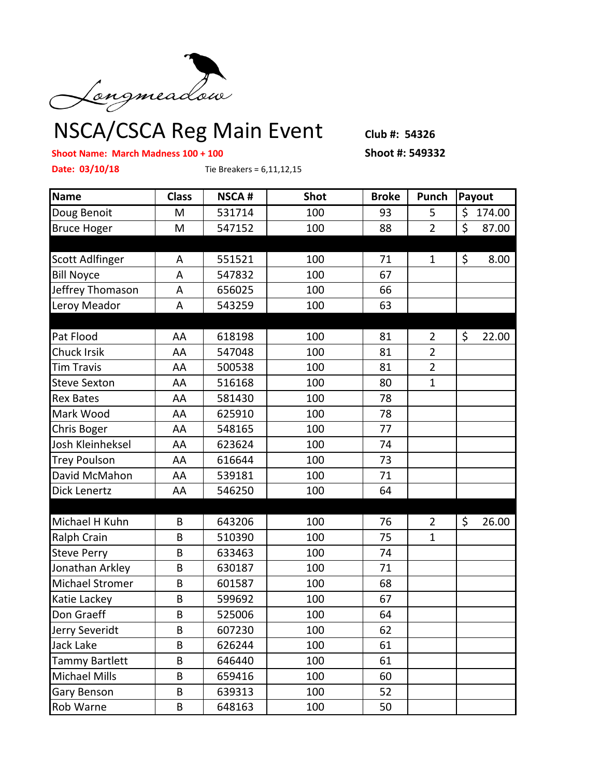

NSCA/CSCA Reg Main Event Club #: 54326

## **Shoot Name: March Madness 100 + 100 Shoot #: 549332**

**Date: 03/10/18** Tie Breakers = 6,11,12,15

| <b>Name</b><br>Doug Benoit | <b>Class</b><br>M | <b>NSCA#</b><br>531714 | <b>Shot</b><br>100 | <b>Broke</b><br>93 | Punch<br>5     | Payout           |  |  |
|----------------------------|-------------------|------------------------|--------------------|--------------------|----------------|------------------|--|--|
|                            |                   |                        |                    |                    |                | \$<br>174.00     |  |  |
| <b>Bruce Hoger</b>         | M                 | 547152                 | 100                | 88                 | $\overline{2}$ | $\zeta$<br>87.00 |  |  |
|                            |                   |                        |                    |                    |                |                  |  |  |
| Scott Adlfinger            | A                 | 551521                 | 100                | 71                 | $\mathbf{1}$   | \$<br>8.00       |  |  |
| <b>Bill Noyce</b>          | A                 | 547832                 | 100                | 67                 |                |                  |  |  |
| Jeffrey Thomason           | A                 | 656025                 | 100                | 66                 |                |                  |  |  |
| Leroy Meador               | A                 | 543259                 | 100                | 63                 |                |                  |  |  |
|                            |                   |                        |                    |                    |                |                  |  |  |
| Pat Flood                  | AA                | 618198                 | 100                | 81                 | $\overline{2}$ | $\zeta$<br>22.00 |  |  |
| Chuck Irsik                | AA                | 547048                 | 100                | 81                 | $\overline{2}$ |                  |  |  |
| <b>Tim Travis</b>          | AA                | 500538                 | 100                | 81                 | $\overline{2}$ |                  |  |  |
| <b>Steve Sexton</b>        | AA                | 516168                 | 100                | 80                 | $\mathbf{1}$   |                  |  |  |
| <b>Rex Bates</b>           | AA                | 581430                 | 100                | 78                 |                |                  |  |  |
| Mark Wood                  | AA                | 625910                 | 100                | 78                 |                |                  |  |  |
| Chris Boger                | AA                | 548165                 | 100                | 77                 |                |                  |  |  |
| Josh Kleinheksel           | AA                | 623624                 | 100                | 74                 |                |                  |  |  |
| <b>Trey Poulson</b>        | AA                | 616644                 | 100                | 73                 |                |                  |  |  |
| David McMahon              | AA                | 539181                 | 100                | 71                 |                |                  |  |  |
| Dick Lenertz               | AA                | 546250                 | 100                | 64                 |                |                  |  |  |
|                            |                   |                        |                    |                    |                |                  |  |  |
| Michael H Kuhn             | B                 | 643206                 | 100                | 76                 | $\overline{2}$ | $\zeta$<br>26.00 |  |  |
| Ralph Crain                | B                 | 510390                 | 100                | 75                 | $\mathbf{1}$   |                  |  |  |
| <b>Steve Perry</b>         | B                 | 633463                 | 100                | 74                 |                |                  |  |  |
| Jonathan Arkley            | B                 | 630187                 | 100                | 71                 |                |                  |  |  |
| <b>Michael Stromer</b>     | B                 | 601587                 | 100                | 68                 |                |                  |  |  |
| Katie Lackey               | B                 | 599692                 | 100                | 67                 |                |                  |  |  |
| Don Graeff                 | B                 | 525006                 | 100                | 64                 |                |                  |  |  |
| Jerry Severidt             | B                 | 607230                 | 100                | 62                 |                |                  |  |  |
| Jack Lake                  | B                 | 626244                 | 100                | 61                 |                |                  |  |  |
| <b>Tammy Bartlett</b>      | B                 | 646440                 | 100                | 61                 |                |                  |  |  |
| <b>Michael Mills</b>       | B                 | 659416                 | 100                | 60                 |                |                  |  |  |
| <b>Gary Benson</b>         | B                 | 639313                 | 100                | 52                 |                |                  |  |  |
| Rob Warne                  | B                 | 648163                 | 100                | 50                 |                |                  |  |  |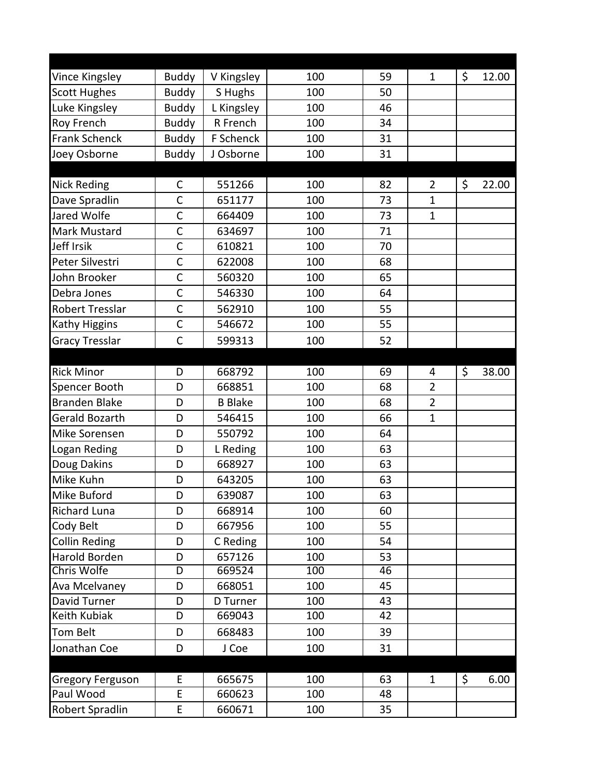| Vince Kingsley          | <b>Buddy</b>   | V Kingsley     | 100 | 59 | $\mathbf{1}$   | \$<br>12.00 |
|-------------------------|----------------|----------------|-----|----|----------------|-------------|
| <b>Scott Hughes</b>     | <b>Buddy</b>   | S Hughs        | 100 | 50 |                |             |
| Luke Kingsley           | <b>Buddy</b>   | L Kingsley     | 100 | 46 |                |             |
| Roy French              | <b>Buddy</b>   | R French       | 100 | 34 |                |             |
| <b>Frank Schenck</b>    | <b>Buddy</b>   | F Schenck      | 100 | 31 |                |             |
| Joey Osborne            | <b>Buddy</b>   | J Osborne      | 100 | 31 |                |             |
|                         |                |                |     |    |                |             |
| <b>Nick Reding</b>      | C              | 551266         | 100 | 82 | $\overline{2}$ | \$<br>22.00 |
| Dave Spradlin           | $\mathsf{C}$   | 651177         | 100 | 73 | $\mathbf{1}$   |             |
| Jared Wolfe             | $\mathsf{C}$   | 664409         | 100 | 73 | $\mathbf{1}$   |             |
| Mark Mustard            | $\mathsf{C}$   | 634697         | 100 | 71 |                |             |
| Jeff Irsik              | $\mathsf{C}$   | 610821         | 100 | 70 |                |             |
| Peter Silvestri         | $\mathsf{C}$   | 622008         | 100 | 68 |                |             |
| John Brooker            | $\mathsf{C}$   | 560320         | 100 | 65 |                |             |
| Debra Jones             | $\mathsf{C}$   | 546330         | 100 | 64 |                |             |
| <b>Robert Tresslar</b>  | $\mathsf{C}$   | 562910         | 100 | 55 |                |             |
| Kathy Higgins           | $\overline{C}$ | 546672         | 100 | 55 |                |             |
| <b>Gracy Tresslar</b>   | $\mathsf{C}$   | 599313         | 100 | 52 |                |             |
|                         |                |                |     |    |                |             |
| <b>Rick Minor</b>       | D              | 668792         | 100 | 69 | 4              | \$<br>38.00 |
| Spencer Booth           | D              | 668851         | 100 | 68 | $\overline{2}$ |             |
| <b>Branden Blake</b>    | D              | <b>B</b> Blake | 100 | 68 | $\overline{2}$ |             |
| Gerald Bozarth          | D              | 546415         | 100 | 66 | $\mathbf{1}$   |             |
| Mike Sorensen           | D              | 550792         | 100 | 64 |                |             |
| Logan Reding            | D              | L Reding       | 100 | 63 |                |             |
| Doug Dakins             | D              | 668927         | 100 | 63 |                |             |
| Mike Kuhn               | D              | 643205         | 100 | 63 |                |             |
| Mike Buford             | D              | 639087         | 100 | 63 |                |             |
| <b>Richard Luna</b>     | D              | 668914         | 100 | 60 |                |             |
| <b>Cody Belt</b>        | D              | 667956         | 100 | 55 |                |             |
| <b>Collin Reding</b>    | D              | C Reding       | 100 | 54 |                |             |
| Harold Borden           | D              | 657126         | 100 | 53 |                |             |
| Chris Wolfe             | $\overline{D}$ | 669524         | 100 | 46 |                |             |
| Ava Mcelvaney           | D              | 668051         | 100 | 45 |                |             |
| David Turner            | D              | D Turner       | 100 | 43 |                |             |
| Keith Kubiak            | D              | 669043         | 100 | 42 |                |             |
| Tom Belt                | D              | 668483         | 100 | 39 |                |             |
| Jonathan Coe            | D              | J Coe          | 100 | 31 |                |             |
| <b>Gregory Ferguson</b> | E              | 665675         | 100 | 63 | $\mathbf{1}$   | \$<br>6.00  |
| Paul Wood               | $\mathsf E$    | 660623         | 100 | 48 |                |             |
| Robert Spradlin         | E              | 660671         | 100 | 35 |                |             |
|                         |                |                |     |    |                |             |